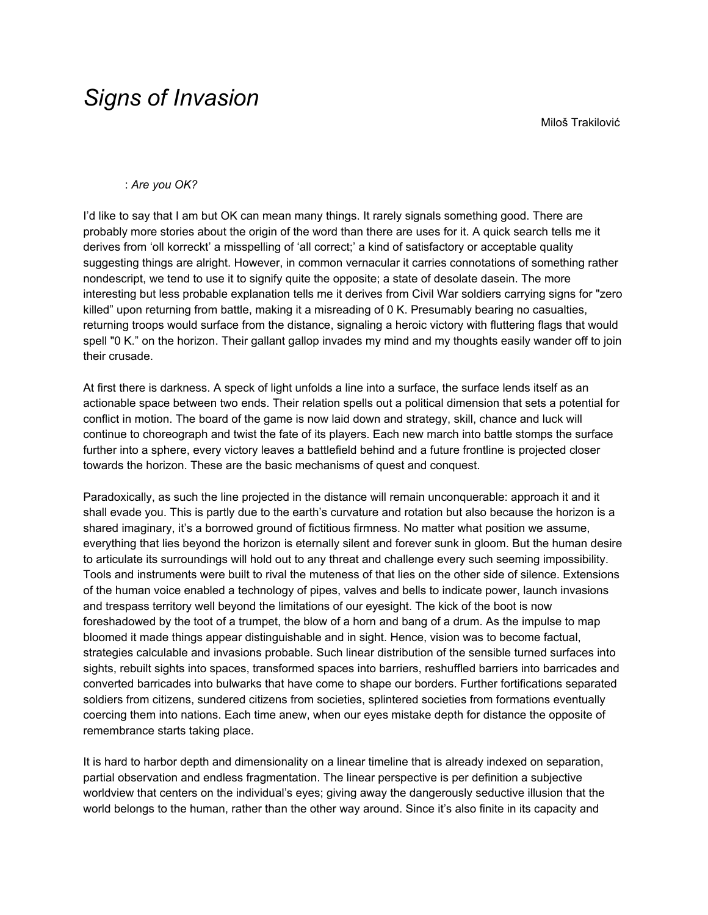## *Signs of Invasion*

Miloš Trakilović

## : *Are you OK?*

I'd like to say that I am but OK can mean many things. It rarely signals something good. There are probably more stories about the origin of the word than there are uses for it. A quick search tells me it derives from 'oll korreckt' a misspelling of 'all correct;' a kind of satisfactory or acceptable quality suggesting things are alright. However, in common vernacular it carries connotations of something rather nondescript, we tend to use it to signify quite the opposite; a state of desolate dasein. The more interesting but less probable explanation tells me it derives from Civil War soldiers carrying signs for "zero killed" upon returning from battle, making it a misreading of 0 K. Presumably bearing no casualties, returning troops would surface from the distance, signaling a heroic victory with fluttering flags that would spell "0 K." on the horizon. Their gallant gallop invades my mind and my thoughts easily wander off to join their crusade.

At first there is darkness. A speck of light unfolds a line into a surface, the surface lends itself as an actionable space between two ends. Their relation spells out a political dimension that sets a potential for conflict in motion. The board of the game is now laid down and strategy, skill, chance and luck will continue to choreograph and twist the fate of its players. Each new march into battle stomps the surface further into a sphere, every victory leaves a battlefield behind and a future frontline is projected closer towards the horizon. These are the basic mechanisms of quest and conquest.

Paradoxically, as such the line projected in the distance will remain unconquerable: approach it and it shall evade you. This is partly due to the earth's curvature and rotation but also because the horizon is a shared imaginary, it's a borrowed ground of fictitious firmness. No matter what position we assume, everything that lies beyond the horizon is eternally silent and forever sunk in gloom. But the human desire to articulate its surroundings will hold out to any threat and challenge every such seeming impossibility. Tools and instruments were built to rival the muteness of that lies on the other side of silence. Extensions of the human voice enabled a technology of pipes, valves and bells to indicate power, launch invasions and trespass territory well beyond the limitations of our eyesight. The kick of the boot is now foreshadowed by the toot of a trumpet, the blow of a horn and bang of a drum. As the impulse to map bloomed it made things appear distinguishable and in sight. Hence, vision was to become factual, strategies calculable and invasions probable. Such linear distribution of the sensible turned surfaces into sights, rebuilt sights into spaces, transformed spaces into barriers, reshuffled barriers into barricades and converted barricades into bulwarks that have come to shape our borders. Further fortifications separated soldiers from citizens, sundered citizens from societies, splintered societies from formations eventually coercing them into nations. Each time anew, when our eyes mistake depth for distance the opposite of remembrance starts taking place.

It is hard to harbor depth and dimensionality on a linear timeline that is already indexed on separation, partial observation and endless fragmentation. The linear perspective is per definition a subjective worldview that centers on the individual's eyes; giving away the dangerously seductive illusion that the world belongs to the human, rather than the other way around. Since it's also finite in its capacity and